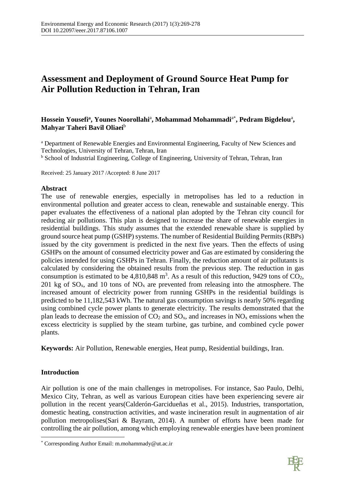# **Assessment and Deployment of Ground Source Heat Pump for Air Pollution Reduction in Tehran, Iran**

## $\bold{H}$ ossein Yousefi<sup>a</sup>, Younes Noorollahi<sup>a</sup>, Mohammad Mohammadi<sup>a\*</sup>, Pedram Bigdelou<sup>a</sup>, **Mahyar Taheri Bavil Oliaei**<sup>b</sup>

<sup>a</sup> Department of Renewable Energies and Environmental Engineering, Faculty of New Sciences and Technologies, University of Tehran, Tehran, Iran

**b** School of Industrial Engineering, College of Engineering, University of Tehran, Tehran, Iran

Received: 25 January 2017 /Accepted: 8 June 2017

## **Abstract**

The use of renewable energies, especially in metropolises has led to a reduction in environmental pollution and greater access to clean, renewable and sustainable energy. This paper evaluates the effectiveness of a national plan adopted by the Tehran city council for reducing air pollutions. This plan is designed to increase the share of renewable energies in residential buildings. This study assumes that the extended renewable share is supplied by ground source heat pump (GSHP) systems. The number of Residential Building Permits (RBPs) issued by the city government is predicted in the next five years. Then the effects of using GSHPs on the amount of consumed electricity power and Gas are estimated by considering the policies intended for using GSHPs in Tehran. Finally, the reduction amount of air pollutants is calculated by considering the obtained results from the previous step. The reduction in gas consumption is estimated to be  $4,810,848$  m<sup>3</sup>. As a result of this reduction, 9429 tons of CO<sub>2</sub>, 201 kg of  $SO_x$ , and 10 tons of  $NO_x$  are prevented from releasing into the atmosphere. The increased amount of electricity power from running GSHPs in the residential buildings is predicted to be 11,182,543 kWh. The natural gas consumption savings is nearly 50% regarding using combined cycle power plants to generate electricity. The results demonstrated that the plan leads to decrease the emission of  $CO_2$  and  $SO_x$ , and increases in  $NO_x$  emissions when the excess electricity is supplied by the steam turbine, gas turbine, and combined cycle power plants.

**Keywords:** Air Pollution, Renewable energies, Heat pump, Residential buildings, Iran.

## **Introduction**

 $\overline{\phantom{a}}$ 

Air pollution is one of the main challenges in metropolises. For instance, Sao Paulo, Delhi, Mexico City, Tehran, as well as various European cities have been experiencing severe air pollution in the recent years(Calderón-Garcidueñas et al., 2015). Industries, transportation, domestic heating, construction activities, and waste incineration result in augmentation of air pollution metropolises(Sari & Bayram, 2014). A number of efforts have been made for controlling the air pollution, among which employing renewable energies have been prominent



<sup>\*</sup> Corresponding Author Email: m.mohammady@ut.ac.ir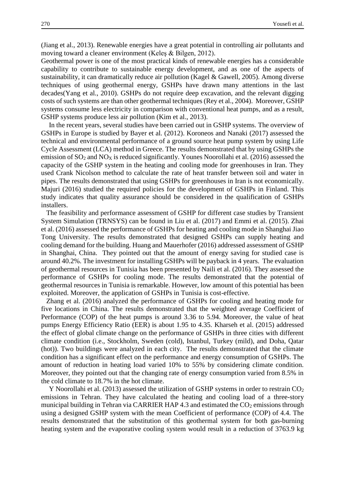(Jiang et al., 2013). Renewable energies have a great potential in controlling air pollutants and moving toward a cleaner environment (Keleş & Bilgen, 2012).

Geothermal power is one of the most practical kinds of renewable energies has a considerable capability to contribute to sustainable energy development, and as one of the aspects of sustainability, it can dramatically reduce air pollution (Kagel & Gawell, 2005). Among diverse techniques of using geothermal energy, GSHPs have drawn many attentions in the last decades(Yang et al., 2010). GSHPs do not require deep excavation, and the relevant digging costs of such systems are than other geothermal techniques (Rey et al., 2004). Moreover, GSHP systems consume less electricity in comparison with conventional heat pumps, and as a result, GSHP systems produce less air pollution (Kim et al., 2013).

In the recent years, several studies have been carried out in GSHP systems. The overview of GSHPs in Europe is studied by Bayer et al. (2012). Koroneos and Nanaki (2017) assessed the technical and environmental performance of a ground source heat pump system by using Life Cycle Assessment (LCA) method in Greece. The results demonstrated that by using GSHPs the emission of  $SO_2$  and  $NO<sub>X</sub>$  is reduced significantly. Younes Noorollahi et al. (2016) assessed the capacity of the GSHP system in the heating and cooling mode for greenhouses in Iran. They used Crank Nicolson method to calculate the rate of heat transfer between soil and water in pipes. The results demonstrated that using GSHPs for greenhouses in Iran is not economically. Majuri (2016) studied the required policies for the development of GSHPs in Finland. This study indicates that quality assurance should be considered in the qualification of GSHPs installers.

The feasibility and performance assessment of GSHP for different case studies by Transient System Simulation (TRNSYS) can be found in Liu et al. (2017) and Emmi et al. (2015). Zhai et al. (2016) assessed the performance of GSHPs for heating and cooling mode in Shanghai Jiao Tong University. The results demonstrated that designed GSHPs can supply heating and cooling demand for the building. Huang and Mauerhofer (2016) addressed assessment of GSHP in Shanghai, China. They pointed out that the amount of energy saving for studied case is around 40.2%. The investment for installing GSHPs will be payback in 4 years. The evaluation of geothermal resources in Tunisia has been presented by Naili et al. (2016). They assessed the performance of GSHPs for cooling mode. The results demonstrated that the potential of geothermal resources in Tunisia is remarkable. However, low amount of this potential has been exploited. Moreover, the application of GSHPs in Tunisia is cost-effective.

Zhang et al. (2016) analyzed the performance of GSHPs for cooling and heating mode for five locations in China. The results demonstrated that the weighted average Coefficient of Performance (COP) of the heat pumps is around 3.36 to 5.94. Moreover, the value of heat pumps Energy Efficiency Ratio (EER) is about 1.95 to 4.35. Kharseh et al. (2015) addressed the effect of global climate change on the performance of GSHPs in three cities with different climate condition (i.e., Stockholm, Sweden (cold), Istanbul, Turkey (mild), and Doha, Qatar (hot)). Two buildings were analyzed in each city. The results demonstrated that the climate condition has a significant effect on the performance and energy consumption of GSHPs. The amount of reduction in heating load varied 10% to 55% by considering climate condition. Moreover, they pointed out that the changing rate of energy consumption varied from 8.5% in the cold climate to 18.7% in the hot climate.

Y Noorollahi et al. (2013) assessed the utilization of GSHP systems in order to restrain CO<sub>2</sub> emissions in Tehran. They have calculated the heating and cooling load of a three-story municipal building in Tehran via CARRIER HAP 4.3 and estimated the  $CO<sub>2</sub>$  emissions through using a designed GSHP system with the mean Coefficient of performance (COP) of 4.4. The results demonstrated that the substitution of this geothermal system for both gas-burning heating system and the evaporative cooling system would result in a reduction of 3763.9 kg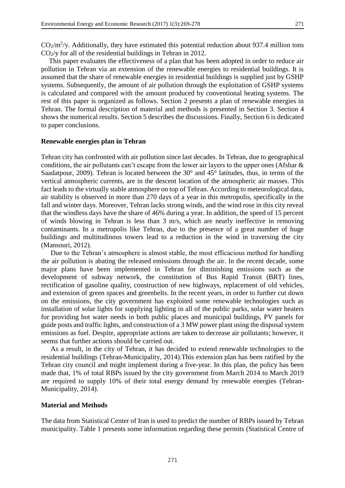This paper evaluates the effectiveness of a plan that has been adopted in order to reduce air pollution in Tehran via an extension of the renewable energies to residential buildings. It is assumed that the share of renewable energies in residential buildings is supplied just by GSHP systems. Subsequently, the amount of air pollution through the exploitation of GSHP systems is calculated and compared with the amount produced by conventional heating systems. The rest of this paper is organized as follows. Section 2 presents a plan of renewable energies in Tehran. The formal description of material and methods is presented in Section 3. Section 4 shows the numerical results. Section 5 describes the discussions. Finally, Section 6 is dedicated to paper conclusions.

### **Renewable energies plan in Tehran**

Tehran city has confronted with air pollution since last decades. In Tehran, due to geographical conditions, the air pollutants can't escape from the lower air layers to the upper ones (Afshar & Saadatpour, 2009). Tehran is located between the 30° and 45° latitudes, thus, in terms of the vertical atmospheric currents, are in the descent location of the atmospheric air masses. This fact leads to the virtually stable atmosphere on top of Tehran. According to meteorological data, air stability is observed in more than 270 days of a year in this metropolis, specifically in the fall and winter days. Moreover, Tehran lacks strong winds, and the wind rose in this city reveal that the windless days have the share of 46% during a year. In addition, the speed of 15 percent of winds blowing in Tehran is less than 3 m/s, which are nearly ineffective in removing contaminants. In a metropolis like Tehran, due to the presence of a great number of huge buildings and multitudinous towers lead to a reduction in the wind in traversing the city (Mansouri, 2012).

Due to the Tehran's atmosphere is almost stable, the most efficacious method for handling the air pollution is abating the released emissions through the air. In the recent decade, some major plans have been implemented in Tehran for diminishing emissions such as the development of subway network, the constitution of Bus Rapid Transit (BRT) lines, rectification of gasoline quality, construction of new highways, replacement of old vehicles, and extension of green spaces and greenbelts. In the recent years, in order to further cut down on the emissions, the city government has exploited some renewable technologies such as installation of solar lights for supplying lighting in all of the public parks, solar water heaters for providing hot water needs in both public places and municipal buildings, PV panels for guide posts and traffic lights, and construction of a 3 MW power plant using the disposal system emissions as fuel. Despite, appropriate actions are taken to decrease air pollutants; however, it seems that further actions should be carried out.

As a result, in the city of Tehran, it has decided to extend renewable technologies to the residential buildings (Tehran-Municipality, 2014).This extension plan has been ratified by the Tehran city council and might implement during a five-year. In this plan, the policy has been made that, 1% of total RBPs issued by the city government from March 2014 to March 2019 are required to supply 10% of their total energy demand by renewable energies (Tehran-Municipality, 2014).

### **Material and Methods**

The data from Statistical Center of Iran is used to predict the number of RBPs issued by Tehran municipality. Table 1 presents some information regarding these permits (Statistical Centre of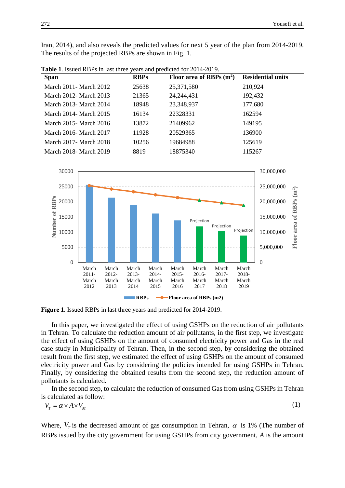Iran, 2014), and also reveals the predicted values for next 5 year of the plan from 2014-2019. The results of the projected RBPs are shown in Fig. 1.

| <b>Span</b>             | <b>RBPs</b> | Floor area of RBPs $(m^2)$ | <b>Residential units</b> |
|-------------------------|-------------|----------------------------|--------------------------|
| March 2011 - March 2012 | 25638       | 25,371,580                 | 210,924                  |
| March 2012 - March 2013 | 21365       | 24, 244, 431               | 192,432                  |
| March 2013- March 2014  | 18948       | 23,348,937                 | 177,680                  |
| March 2014 - March 2015 | 16134       | 22328331                   | 162594                   |
| March 2015 - March 2016 | 13872       | 21409962                   | 149195                   |
| March 2016- March 2017  | 11928       | 20529365                   | 136900                   |
| March 2017 - March 2018 | 10256       | 19684988                   | 125619                   |
| March 2018 - March 2019 | 8819        | 18875340                   | 115267                   |

**Table 1**. Issued RBPs in last three years and predicted for 2014-2019.



**Figure 1**. Issued RBPs in last three years and predicted for 2014-2019.

In this paper, we investigated the effect of using GSHPs on the reduction of air pollutants in Tehran. To calculate the reduction amount of air pollutants, in the first step, we investigate the effect of using GSHPs on the amount of consumed electricity power and Gas in the real case study in Municipality of Tehran. Then, in the second step, by considering the obtained result from the first step, we estimated the effect of using GSHPs on the amount of consumed electricity power and Gas by considering the policies intended for using GSHPs in Tehran. Finally, by considering the obtained results from the second step, the reduction amount of pollutants is calculated.

In the second step, to calculate the reduction of consumed Gas from using GSHPs in Tehran is calculated as follow:  $(1)$ 

$$
V_T = \alpha \times A \times V_M \tag{1}
$$

Where,  $V_T$  is the decreased amount of gas consumption in Tehran,  $\alpha$  is 1% (The number of RBPs issued by the city government for using GSHPs from city government, *A* is the amount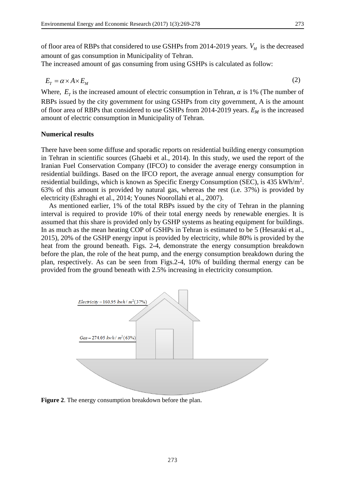of floor area of RBPs that considered to use GSHPs from 2014-2019 years.  $V_M$  is the decreased amount of gas consumption in Municipality of Tehran.

The increased amount of gas consuming from using GSHPs is calculated as follow:

$$
E_T = \alpha \times A \times E_M \tag{2}
$$

Where,  $E_T$  is the increased amount of electric consumption in Tehran,  $\alpha$  is 1% (The number of RBPs issued by the city government for using GSHPs from city government, A is the amount of floor area of RBPs that considered to use GSHPs from 2014-2019 years.  $E_M$  is the increased amount of electric consumption in Municipality of Tehran.

#### **Numerical results**

There have been some diffuse and sporadic reports on residential building energy consumption in Tehran in scientific sources (Ghaebi et al., 2014). In this study, we used the report of the Iranian Fuel Conservation Company (IFCO) to consider the average energy consumption in residential buildings. Based on the IFCO report, the average annual energy consumption for residential buildings, which is known as Specific Energy Consumption (SEC), is 435 kWh/m<sup>2</sup>. 63% of this amount is provided by natural gas, whereas the rest (i.e. 37%) is provided by electricity (Eshraghi et al., 2014; Younes Noorollahi et al., 2007).

As mentioned earlier, 1% of the total RBPs issued by the city of Tehran in the planning interval is required to provide 10% of their total energy needs by renewable energies. It is assumed that this share is provided only by GSHP systems as heating equipment for buildings. In as much as the mean heating COP of GSHPs in Tehran is estimated to be 5 (Hesaraki et al., 2015), 20% of the GSHP energy input is provided by electricity, while 80% is provided by the heat from the ground beneath. Figs. 2-4, demonstrate the energy consumption breakdown before the plan, the role of the heat pump, and the energy consumption breakdown during the plan, respectively. As can be seen from Figs.2-4, 10% of building thermal energy can be provided from the ground beneath with 2.5% increasing in electricity consumption.



**Figure 2**. The energy consumption breakdown before the plan.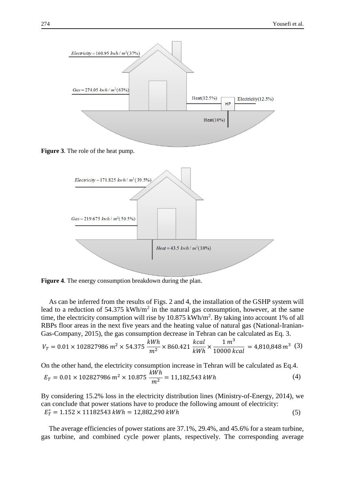

**Figure 4**. The energy consumption breakdown during the plan.

As can be inferred from the results of Figs. 2 and 4, the installation of the GSHP system will lead to a reduction of 54.375 kWh/ $m<sup>2</sup>$  in the natural gas consumption, however, at the same time, the electricity consumption will rise by  $10.875 \text{ kWh/m}^2$ . By taking into account 1% of all RBPs floor areas in the next five years and the heating value of natural gas (National-Iranian-Gas-Company, 2015), the gas consumption decrease in Tehran can be calculated as Eq. 3.

$$
V_T = 0.01 \times 102827986 \ m^2 \times 54.375 \ \frac{kWh}{m^2} \times 860.421 \ \frac{kcal}{kWh} \times \frac{1 \ m^3}{10000 \ kcal} = 4,810,848 \ m^3 \ (3)
$$

On the other hand, the electricity consumption increase in Tehran will be calculated as Eq.4.  $E_T = 0.01 \times 102827986 \ m^2 \times 10.875 \ \frac{kWh}{m^2} = 11{,}182{,}543 \ kW h$  (4)

By considering 15.2% loss in the electricity distribution lines (Ministry-of-Energy, 2014), we can conclude that power stations have to produce the following amount of electricity:  $E_T^* = 1.152 \times 11182543 \; kWh = 12,882,290 \; kWh$  (5)

The average efficiencies of power stations are 37.1%, 29.4%, and 45.6% for a steam turbine, gas turbine, and combined cycle power plants, respectively. The corresponding average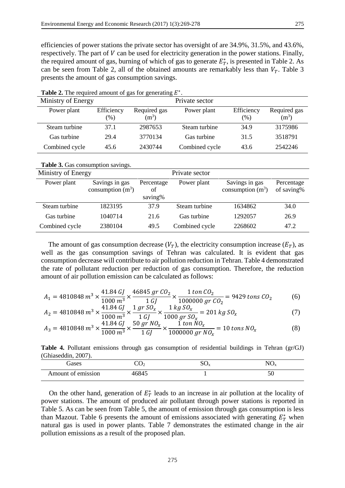efficiencies of power stations the private sector has oversight of are 34.9%, 31.5%, and 43.6%, respectively. The part of  $V$  can be used for electricity generation in the power stations. Finally, the required amount of gas, burning of which of gas to generate  $E_T^*$ , is presented in Table 2. As can be seen from Table 2, all of the obtained amounts are remarkably less than  $V_T$ . Table 3 presents the amount of gas consumption savings.

| Ministry of Energy |            |              | Private sector |            |              |
|--------------------|------------|--------------|----------------|------------|--------------|
| Power plant        | Efficiency | Required gas | Power plant    | Efficiency | Required gas |
|                    | (% )       | $\rm (m^3)$  |                | (%)        | $(m^3)$      |
| Steam turbine      | 37.1       | 2987653      | Steam turbine  | 34.9       | 3175986      |
| Gas turbine        | 29.4       | 3770134      | Gas turbine    | 31.5       | 3518791      |
| Combined cycle     | 45.6       | 2430744      | Combined cycle | 43.6       | 2542246      |

Table 2. The required amount of gas for generating  $E^*$ .

| Table 3. Gas consumption savings. |  |  |
|-----------------------------------|--|--|
|-----------------------------------|--|--|

| Ministry of Energy<br>Private sector |                                       |                             |                |                                       |                          |
|--------------------------------------|---------------------------------------|-----------------------------|----------------|---------------------------------------|--------------------------|
| Power plant                          | Savings in gas<br>consumption $(m^3)$ | Percentage<br>of<br>saving% | Power plant    | Savings in gas<br>consumption $(m^3)$ | Percentage<br>of saving% |
| Steam turbine                        | 1823195                               | 37.9                        | Steam turbine  | 1634862                               | 34.0                     |
| Gas turbine                          | 1040714                               | 21.6                        | Gas turbine    | 1292057                               | 26.9                     |
| Combined cycle                       | 2380104                               | 49.5                        | Combined cycle | 2268602                               | 47.2                     |

The amount of gas consumption decrease  $(V_T)$ , the electricity consumption increase  $(E_T)$ , as well as the gas consumption savings of Tehran was calculated. It is evident that gas consumption decrease will contribute to air pollution reduction in Tehran. Table 4 demonstrated the rate of pollutant reduction per reduction of gas consumption. Therefore, the reduction amount of air pollution emission can be calculated as follows:

$$
A_1 = 4810848 \, m^3 \times \frac{41.84 \, GJ}{1000 \, m^3} \times \frac{46845 \, gr \, CO_2}{1 \, GJ} \times \frac{1 \, ton \, CO_2}{1000000 \, gr \, CO_2} = 9429 \, tons \, CO_2 \tag{6}
$$

$$
A_2 = 4810848 \, m^3 \times \frac{41.84 \, GJ}{1000 \, m^3} \times \frac{1 \, gr \, SO_x}{1 \, GJ} \times \frac{1 \, kg \, SO_x}{1000 \, gr \, SO_x} = 201 \, kg \, SO_x \tag{7}
$$

$$
A_3 = 4810848 \, m^3 \times \frac{41.84 \, GJ}{1000 \, m^3} \times \frac{50 \, gr \, NO_x}{1 \, GJ} \times \frac{1 \, ton \, NO_x}{1000000 \, gr \, NO_x} = 10 \, tons \, NO_x \tag{8}
$$

**Table 4.** Pollutant emissions through gas consumption of residential buildings in Tehran (gr/GJ) (Ghiaseddin, 2007).

| Jases              | $\sim$ $\sim$ | $\mathbf{v}_{\mathbf{X}}$ | $\sqrt{10}$ |
|--------------------|---------------|---------------------------|-------------|
|                    | $\sim$ 2      | ົ້                        | - ^         |
| Amount of emission | 46845         |                           | υv          |

On the other hand, generation of  $E_T^*$  leads to an increase in air pollution at the locality of power stations. The amount of produced air pollutant through power stations is reported in Table 5. As can be seen from Table 5, the amount of emission through gas consumption is less than Mazout. Table 6 presents the amount of emissions associated with generating  $E_T^*$  when natural gas is used in power plants. Table 7 demonstrates the estimated change in the air pollution emissions as a result of the proposed plan.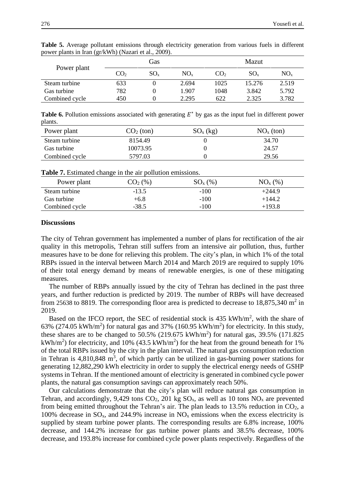|                |     | Gas      |          |                 | Mazut    |          |  |
|----------------|-----|----------|----------|-----------------|----------|----------|--|
| Power plant    | CO2 | $SO_{x}$ | $NO_{x}$ | CO <sub>2</sub> | $SO_{x}$ | $NO_{x}$ |  |
| Steam turbine  | 633 |          | 2.694    | 1025            | 15.276   | 2.519    |  |
| Gas turbine    | 782 |          | 1.907    | 1048            | 3.842    | 5.792    |  |
| Combined cycle | 450 |          | 2.295    | 622             | 2.325    | 3.782    |  |

**Table 5.** Average pollutant emissions through electricity generation from various fuels in different power plants in Iran (gr/kWh) (Nazari et al., 2009).

**Table 6.** Pollution emissions associated with generating  $E^*$  by gas as the input fuel in different power plants.

| Power plant    | $CO2$ (ton) | $SO_{x}$ (kg) | $NOx$ (ton) |
|----------------|-------------|---------------|-------------|
| Steam turbine  | 8154.49     |               | 34.70       |
| Gas turbine    | 10073.95    |               | 24.57       |
| Combined cycle | 5797.03     |               | 29.56       |

| <b>Table 7.</b> Estimated change in the air pollution emissions. |  |
|------------------------------------------------------------------|--|
|------------------------------------------------------------------|--|

| Power plant    | CO <sub>2</sub> (% ) | $SO_{x}(\%)$ | $NOx(\%)$ |
|----------------|----------------------|--------------|-----------|
| Steam turbine  | $-13.5$              | $-100$       | $+244.9$  |
| Gas turbine    | $+6.8$               | $-100$       | $+144.2$  |
| Combined cycle | $-38.5$              | $-100$       | $+193.8$  |

#### **Discussions**

The city of Tehran government has implemented a number of plans for rectification of the air quality in this metropolis, Tehran still suffers from an intensive air pollution, thus, further measures have to be done for relieving this problem. The city's plan, in which 1% of the total RBPs issued in the interval between March 2014 and March 2019 are required to supply 10% of their total energy demand by means of renewable energies, is one of these mitigating measures.

The number of RBPs annually issued by the city of Tehran has declined in the past three years, and further reduction is predicted by 2019. The number of RBPs will have decreased from 25638 to 8819. The corresponding floor area is predicted to decrease to 18,875,340 m<sup>2</sup> in 2019.

Based on the IFCO report, the SEC of residential stock is  $435 \text{ kWh/m}^2$ , with the share of 63% (274.05 kWh/m<sup>2</sup>) for natural gas and 37% (160.95 kWh/m<sup>2</sup>) for electricity. In this study, these shares are to be changed to 50.5% (219.675 kWh/m<sup>2</sup>) for natural gas, 39.5% (171.825 kWh/m<sup>2</sup>) for electricity, and 10% (43.5 kWh/m<sup>2</sup>) for the heat from the ground beneath for 1% of the total RBPs issued by the city in the plan interval. The natural gas consumption reduction in Tehran is  $4,810,848$  m<sup>3</sup>, of which partly can be utilized in gas-burning power stations for generating 12,882,290 kWh electricity in order to supply the electrical energy needs of GSHP systems in Tehran. If the mentioned amount of electricity is generated in combined cycle power plants, the natural gas consumption savings can approximately reach 50%.

Our calculations demonstrate that the city's plan will reduce natural gas consumption in Tehran, and accordingly, 9,429 tons  $CO<sub>2</sub>$ , 201 kg  $SO<sub>x</sub>$ , as well as 10 tons  $NO<sub>x</sub>$  are prevented from being emitted throughout the Tehran's air. The plan leads to  $13.5\%$  reduction in CO<sub>2</sub>, a 100% decrease in  $SO_x$ , and 244.9% increase in  $NO_x$  emissions when the excess electricity is supplied by steam turbine power plants. The corresponding results are 6.8% increase, 100% decrease, and 144.2% increase for gas turbine power plants and 38.5% decrease, 100% decrease, and 193.8% increase for combined cycle power plants respectively. Regardless of the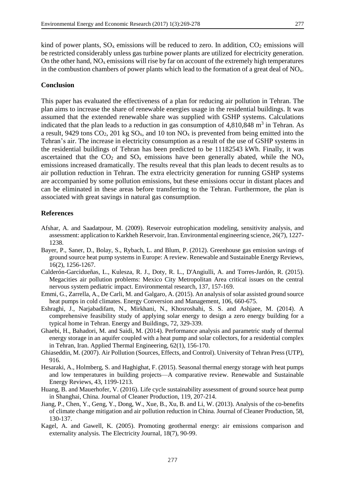kind of power plants,  $SO_x$  emissions will be reduced to zero. In addition,  $CO_2$  emissions will be restricted considerably unless gas turbine power plants are utilized for electricity generation. On the other hand,  $NO<sub>x</sub>$  emissions will rise by far on account of the extremely high temperatures in the combustion chambers of power plants which lead to the formation of a great deal of  $NO<sub>x</sub>$ .

#### **Conclusion**

This paper has evaluated the effectiveness of a plan for reducing air pollution in Tehran. The plan aims to increase the share of renewable energies usage in the residential buildings. It was assumed that the extended renewable share was supplied with GSHP systems. Calculations indicated that the plan leads to a reduction in gas consumption of  $4,810,848$  m<sup>3</sup> in Tehran. As a result, 9429 tons  $CO_2$ , 201 kg  $SO_x$ , and 10 ton  $NO_x$  is prevented from being emitted into the Tehran's air. The increase in electricity consumption as a result of the use of GSHP systems in the residential buildings of Tehran has been predicted to be 11182543 kWh. Finally, it was ascertained that the  $CO_2$  and  $SO_x$  emissions have been generally abated, while the  $NO_x$ emissions increased dramatically. The results reveal that this plan leads to decent results as to air pollution reduction in Tehran. The extra electricity generation for running GSHP systems are accompanied by some pollution emissions, but these emissions occur in distant places and can be eliminated in these areas before transferring to the Tehran. Furthermore, the plan is associated with great savings in natural gas consumption.

#### **References**

- Afshar, A. and Saadatpour, M. (2009). Reservoir eutrophication modeling, sensitivity analysis, and assessment: application to Karkheh Reservoir, Iran. Environmental engineering science, 26(7), 1227- 1238.
- Bayer, P., Saner, D., Bolay, S., Rybach, L. and Blum, P. (2012). Greenhouse gas emission savings of ground source heat pump systems in Europe: A review. Renewable and Sustainable Energy Reviews, 16(2), 1256-1267.
- Calderón-Garcidueñas, L., Kulesza, R. J., Doty, R. L., D'Angiulli, A. and Torres-Jardón, R. (2015). Megacities air pollution problems: Mexico City Metropolitan Area critical issues on the central nervous system pediatric impact. Environmental research, 137, 157-169.
- Emmi, G., Zarrella, A., De Carli, M. and Galgaro, A. (2015). An analysis of solar assisted ground source heat pumps in cold climates. Energy Conversion and Management, 106, 660-675.
- Eshraghi, J., Narjabadifam, N., Mirkhani, N., Khosroshahi, S. S. and Ashjaee, M. (2014). A comprehensive feasibility study of applying solar energy to design a zero energy building for a typical home in Tehran. Energy and Buildings, 72, 329-339.
- Ghaebi, H., Bahadori, M. and Saidi, M. (2014). Performance analysis and parametric study of thermal energy storage in an aquifer coupled with a heat pump and solar collectors, for a residential complex in Tehran, Iran. Applied Thermal Engineering, 62(1), 156-170.
- Ghiaseddin, M. (2007). Air Pollution (Sources, Effects, and Control). University of Tehran Press (UTP), 916.
- Hesaraki, A., Holmberg, S. and Haghighat, F. (2015). Seasonal thermal energy storage with heat pumps and low temperatures in building projects—A comparative review. Renewable and Sustainable Energy Reviews, 43, 1199-1213.
- Huang, B. and Mauerhofer, V. (2016). Life cycle sustainability assessment of ground source heat pump in Shanghai, China. Journal of Cleaner Production, 119, 207-214.
- Jiang, P., Chen, Y., Geng, Y., Dong, W., Xue, B., Xu, B. and Li, W. (2013). Analysis of the co-benefits of climate change mitigation and air pollution reduction in China. Journal of Cleaner Production, 58, 130-137.
- Kagel, A. and Gawell, K. (2005). Promoting geothermal energy: air emissions comparison and externality analysis. The Electricity Journal, 18(7), 90-99.